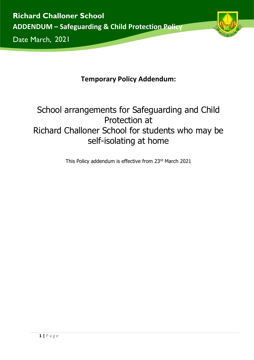

2021

# **Temporary Policy Addendum:**

# School arrangements for Safeguarding and Child Protection at Richard Challoner School for students who may be self-isolating at home

This Policy addendum is effective from 23rd March 2021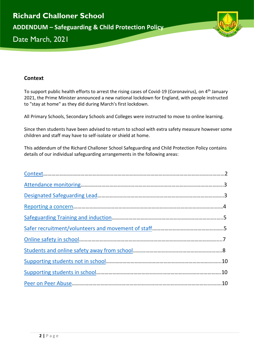

# <span id="page-1-0"></span>**Context**

To support public health efforts to arrest the rising cases of Covid-19 (Coronavirus), on 4<sup>th</sup> January 2021, the Prime Minister announced a new national lockdown for England, with people instructed to "stay at home" as they did during March's first lockdown.

All Primary Schools, Secondary Schools and Colleges were instructed to move to online learning.

Since then students have been advised to return to school with extra safety measure however some children and staff may have to self-isolate or shield at home.

This addendum of the Richard Challoner School Safeguarding and Child Protection Policy contains details of our individual safeguarding arrangements in the following areas: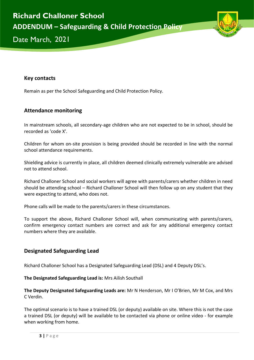

2021

#### **Key contacts**

Remain as per the School Safeguarding and Child Protection Policy.

#### <span id="page-2-0"></span>**Attendance monitoring**

In mainstream schools, all secondary-age children who are not expected to be in school, should be recorded as 'code X'.

Children for whom on-site provision is being provided should be recorded in line with the normal school attendance requirements.

Shielding advice is currently in place, all children deemed clinically extremely vulnerable are advised not to attend school.

Richard Challoner School and social workers will agree with parents/carers whether children in need should be attending school – Richard Challoner School will then follow up on any student that they were expecting to attend, who does not.

Phone calls will be made to the parents/carers in these circumstances.

To support the above, Richard Challoner School will, when communicating with parents/carers, confirm emergency contact numbers are correct and ask for any additional emergency contact numbers where they are available.

# <span id="page-2-1"></span>**Designated Safeguarding Lead**

Richard Challoner School has a Designated Safeguarding Lead (DSL) and 4 Deputy DSL's.

**The Designated Safeguarding Lead is:** Mrs Ailish Southall

**The Deputy Designated Safeguarding Leads are:** Mr N Henderson, Mr I O'Brien, Mr M Cox, and Mrs C Verdin.

The optimal scenario is to have a trained DSL (or deputy) available on site. Where this is not the case a trained DSL (or deputy) will be available to be contacted via phone or online video - for example when working from home.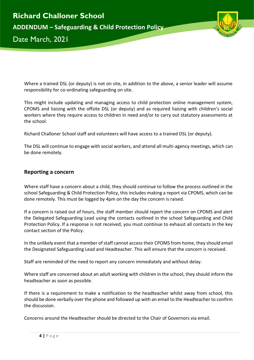

Where a trained DSL (or deputy) is not on site, in addition to the above, a senior leader will assume responsibility for co-ordinating safeguarding on site.

This might include updating and managing access to child protection online management system, CPOMS and liaising with the offsite DSL (or deputy) and as required liaising with children's social workers where they require access to children in need and/or to carry out statutory assessments at the school.

Richard Challoner School staff and volunteers will have access to a trained DSL (or deputy).

The DSL will continue to engage with social workers, and attend all multi-agency meetings, which can be done remotely.

#### <span id="page-3-0"></span>**Reporting a concern**

Where staff have a concern about a child, they should continue to follow the process outlined in the school Safeguarding & Child Protection Policy, this includes making a report via CPOMS, which can be done remotely. This must be logged by 4pm on the day the concern is raised.

If a concern is raised out of hours, the staff member should report the concern on CPOMS and alert the Delegated Safeguarding Lead using the contacts outlined in the school Safeguarding and Child Protection Policy. If a response is not received, you must continue to exhaust all contacts in the key contact section of the Policy.

In the unlikely event that a member of staff cannot access their CPOMS from home, they should email the Designated Safeguarding Lead and Headteacher. This will ensure that the concern is received.

Staff are reminded of the need to report any concern immediately and without delay.

Where staff are concerned about an adult working with children in the school, they should inform the headteacher as soon as possible.

If there is a requirement to make a notification to the headteacher whilst away from school, this should be done verbally over the phone and followed up with an email to the Headteacher to confirm the discussion.

Concerns around the Headteacher should be directed to the Chair of Governors via email.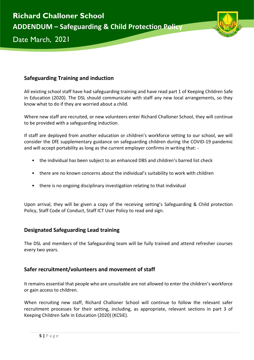

2021

# <span id="page-4-0"></span>**Safeguarding Training and induction**

All existing school staff have had safeguarding training and have read part 1 of Keeping Children Safe in Education (2020). The DSL should communicate with staff any new local arrangements, so they know what to do if they are worried about a child.

Where new staff are recruited, or new volunteers enter Richard Challoner School, they will continue to be provided with a safeguarding induction.

If staff are deployed from another education or children's workforce setting to our school, we will consider the DfE supplementary guidance on safeguarding children during the COVID-19 pandemic and will accept portability as long as the current employer confirms in writing that: -

- the individual has been subject to an enhanced DBS and children's barred list check
- there are no known concerns about the individual's suitability to work with children
- there is no ongoing disciplinary investigation relating to that individual

Upon arrival, they will be given a copy of the receiving setting's Safeguarding & Child protection Policy, Staff Code of Conduct, Staff ICT User Policy to read and sign.

# **Designated Safeguarding Lead training**

The DSL and members of the Safegaurding team will be fully trained and attend refresher courses every two years.

# <span id="page-4-1"></span>**Safer recruitment/volunteers and movement of staff**

It remains essential that people who are unsuitable are not allowed to enter the children's workforce or gain access to children.

When recruiting new staff, Richard Challoner School will continue to follow the relevant safer recruitment processes for their setting, including, as appropriate, relevant sections in part 3 of Keeping Children Safe in Education (2020) (KCSIE).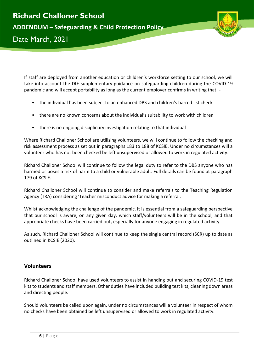

If staff are deployed from another education or children's workforce setting to our school, we will take into account the DfE supplementary guidance on safeguarding children during the COVID-19 pandemic and will accept portability as long as the current employer confirms in writing that: -

- the individual has been subject to an enhanced DBS and children's barred list check
- there are no known concerns about the individual's suitability to work with children
- there is no ongoing disciplinary investigation relating to that individual

Where Richard Challoner School are utilising volunteers, we will continue to follow the checking and risk assessment process as set out in paragraphs 183 to 188 of KCSIE. Under no circumstances will a volunteer who has not been checked be left unsupervised or allowed to work in regulated activity.

Richard Challoner School will continue to follow the legal duty to refer to the DBS anyone who has harmed or poses a risk of harm to a child or vulnerable adult. Full details can be found at paragraph 179 of KCSIE.

Richard Challoner School will continue to consider and make referrals to the Teaching Regulation Agency (TRA) considering 'Teacher misconduct advice for making a referral.

Whilst acknowledging the challenge of the pandemic, it is essential from a safeguarding perspective that our school is aware, on any given day, which staff/volunteers will be in the school, and that appropriate checks have been carried out, especially for anyone engaging in regulated activity.

As such, Richard Challoner School will continue to keep the single central record (SCR) up to date as outlined in KCSIE (2020).

# **Volunteers**

Richard Challoner School have used volunteers to assist in handing out and securing COVID-19 test kits to students and staff members. Other duties have included building test kits, cleaning down areas and directing people.

Should volunteers be called upon again, under no circumstances will a volunteer in respect of whom no checks have been obtained be left unsupervised or allowed to work in regulated activity.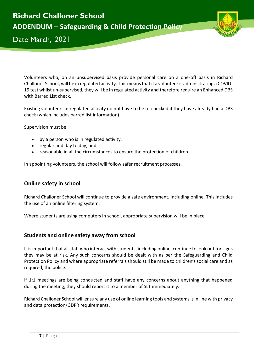

2021

Volunteers who, on an unsupervised basis provide personal care on a one-off basis in Richard Challoner School, will be in regulated activity. This means that if a volunteer is administrating a COVID-19 test whilst un-supervised, they will be in regulated activity and therefore require an Enhanced DBS with Barred List check.

Existing volunteers in regulated activity do not have to be re-checked if they have already had a DBS check (which includes barred list information).

Supervision must be:

- by a person who is in regulated activity.
- regular and day to day; and
- reasonable in all the circumstances to ensure the protection of children.

In appointing volunteers, the school will follow safer recruitment processes.

# <span id="page-6-0"></span>**Online safety in school**

Richard Challoner School will continue to provide a safe environment, including online. This includes the use of an online filtering system.

Where students are using computers in school, appropriate supervision will be in place.

# <span id="page-6-1"></span>**Students and online safety away from school**

It is important that all staff who interact with students, including online, continue to look out for signs they may be at risk. Any such concerns should be dealt with as per the Safeguarding and Child Protection Policy and where appropriate referrals should still be made to children's social care and as required, the police.

If 1:1 meetings are being conducted and staff have any concerns about anything that happened during the meeting, they should report it to a member of SLT immediately.

Richard Challoner School will ensure any use of online learning tools and systems is in line with privacy and data protection/GDPR requirements.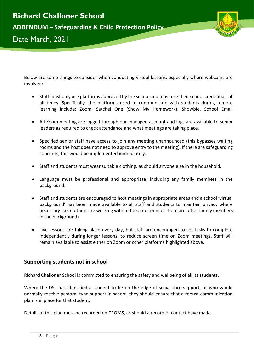



Below are some things to consider when conducting virtual lessons, especially where webcams are involved:

- Staff must only use platforms approved by the school and must use their school credentials at all times. Specifically, the platforms used to communicate with students during remote learning include: Zoom, Satchel One (Show My Homework), Showbie, School Email
- All Zoom meeting are logged through our managed account and logs are available to senior leaders as required to check attendance and what meetings are taking place.
- Specified senior staff have access to join any meeting unannounced (this bypasses waiting rooms and the host does not need to approve entry to the meeting). If there are safeguarding concerns, this would be implemented immediately.
- Staff and students must wear suitable clothing, as should anyone else in the household.
- Language must be professional and appropriate, including any family members in the background.
- Staff and students are encouraged to host meetings in appropriate areas and a school 'virtual background' has been made available to all staff and students to maintain privacy where necessary (i.e. if others are working within the same room or there are other family members in the background).
- Live lessons are taking place every day, but staff are encouraged to set tasks to complete independently during longer lessons, to reduce screen time on Zoom meetings. Staff will remain available to assist either on Zoom or other platforms highlighted above.

# <span id="page-7-0"></span>**Supporting students not in school**

Richard Challoner School is committed to ensuring the safety and wellbeing of all its students.

Where the DSL has identified a student to be on the edge of social care support, or who would normally receive pastoral-type support in school, they should ensure that a robust communication plan is in place for that student.

Details of this plan must be recorded on CPOMS, as should a record of contact have made.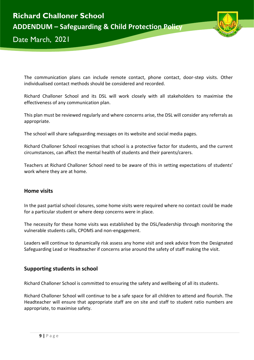

2021

The communication plans can include remote contact, phone contact, door-step visits. Other individualised contact methods should be considered and recorded.

Richard Challoner School and its DSL will work closely with all stakeholders to maximise the effectiveness of any communication plan.

This plan must be reviewed regularly and where concerns arise, the DSL will consider any referrals as appropriate.

The school will share safeguarding messages on its website and social media pages.

Richard Challoner School recognises that school is a protective factor for students, and the current circumstances, can affect the mental health of students and their parents/carers.

Teachers at Richard Challoner School need to be aware of this in setting expectations of students' work where they are at home.

#### **Home visits**

In the past partial school closures, some home visits were required where no contact could be made for a particular student or where deep concerns were in place.

The necessity for these home visits was established by the DSL/leadership through monitoring the vulnerable students calls, CPOMS and non-engagement.

Leaders will continue to dynamically risk assess any home visit and seek advice from the Designated Safeguarding Lead or Headteacher if concerns arise around the safety of staff making the visit.

#### <span id="page-8-0"></span>**Supporting students in school**

Richard Challoner School is committed to ensuring the safety and wellbeing of all its students.

Richard Challoner School will continue to be a safe space for all children to attend and flourish. The Headteacher will ensure that appropriate staff are on site and staff to student ratio numbers are appropriate, to maximise safety.